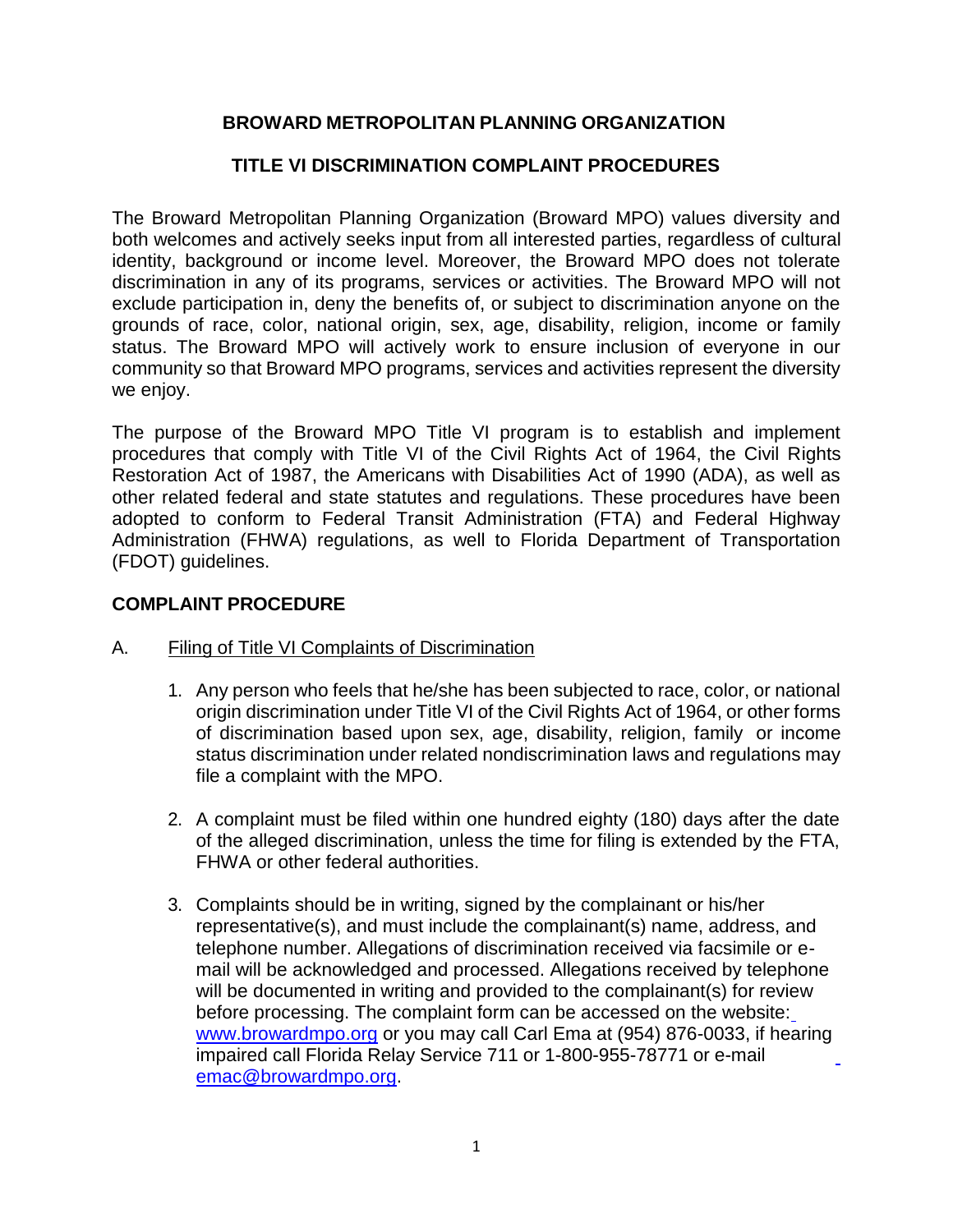## **BROWARD METROPOLITAN PLANNING ORGANIZATION**

# **TITLE VI DISCRIMINATION COMPLAINT PROCEDURES**

The Broward Metropolitan Planning Organization (Broward MPO) values diversity and both welcomes and actively seeks input from all interested parties, regardless of cultural identity, background or income level. Moreover, the Broward MPO does not tolerate discrimination in any of its programs, services or activities. The Broward MPO will not exclude participation in, deny the benefits of, or subject to discrimination anyone on the grounds of race, color, national origin, sex, age, disability, religion, income or family status. The Broward MPO will actively work to ensure inclusion of everyone in our community so that Broward MPO programs, services and activities represent the diversity we enjoy.

The purpose of the Broward MPO Title VI program is to establish and implement procedures that comply with Title VI of the Civil Rights Act of 1964, the Civil Rights Restoration Act of 1987, the Americans with Disabilities Act of 1990 (ADA), as well as other related federal and state statutes and regulations. These procedures have been adopted to conform to Federal Transit Administration (FTA) and Federal Highway Administration (FHWA) regulations, as well to Florida Department of Transportation (FDOT) guidelines.

## **COMPLAINT PROCEDURE**

- A. Filing of Title VI Complaints of Discrimination
	- 1. Any person who feels that he/she has been subjected to race, color, or national origin discrimination under Title VI of the Civil Rights Act of 1964, or other forms of discrimination based upon sex, age, disability, religion, family or income status discrimination under related nondiscrimination laws and regulations may file a complaint with the MPO.
	- 2. A complaint must be filed within one hundred eighty (180) days after the date of the alleged discrimination, unless the time for filing is extended by the FTA, FHWA or other federal authorities.
	- 3. Complaints should be in writing, signed by the complainant or his/her representative(s), and must include the complainant(s) name, address, and telephone number. Allegations of discrimination received via facsimile or email will be acknowledged and processed. Allegations received by telephone will be documented in writing and provided to the complainant(s) for review before processing. The complaint form can be accessed on the website: [www.browardmpo.org](http://www.browardmpo.org/) or you may call Carl Ema at (954) 876-0033, if hearing impaired call Florida Relay Service 711 or 1-800-955-78771 or e-mail [emac@browardmpo.org.](mailto:emac@browardmpo.org)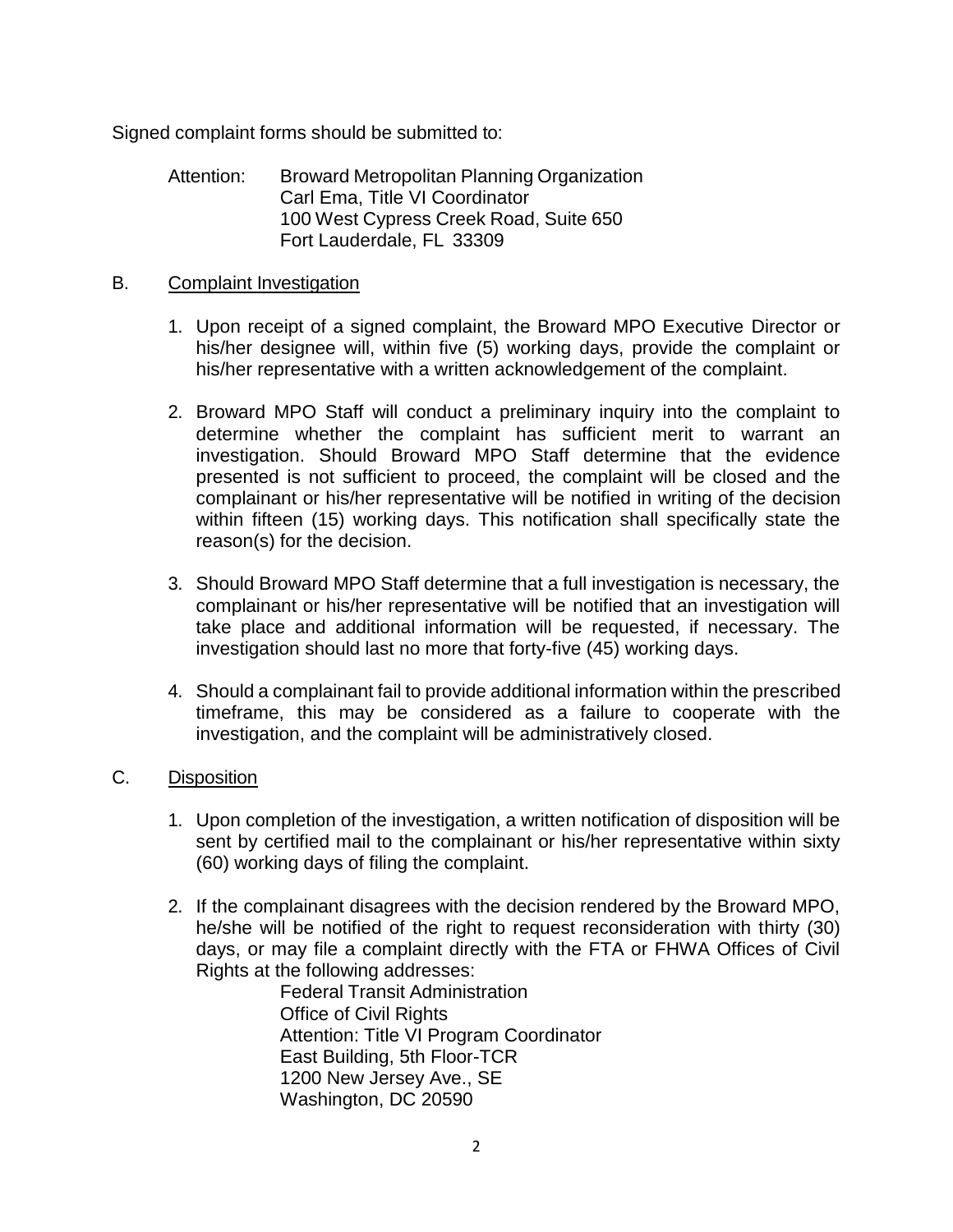Signed complaint forms should be submitted to:

Attention: Broward Metropolitan Planning Organization Carl Ema, Title VI Coordinator 100 West Cypress Creek Road, Suite 650 Fort Lauderdale, FL 33309

### B. Complaint Investigation

- 1. Upon receipt of a signed complaint, the Broward MPO Executive Director or his/her designee will, within five (5) working days, provide the complaint or his/her representative with a written acknowledgement of the complaint.
- 2. Broward MPO Staff will conduct a preliminary inquiry into the complaint to determine whether the complaint has sufficient merit to warrant an investigation. Should Broward MPO Staff determine that the evidence presented is not sufficient to proceed, the complaint will be closed and the complainant or his/her representative will be notified in writing of the decision within fifteen (15) working days. This notification shall specifically state the reason(s) for the decision.
- 3. Should Broward MPO Staff determine that a full investigation is necessary, the complainant or his/her representative will be notified that an investigation will take place and additional information will be requested, if necessary. The investigation should last no more that forty-five (45) working days.
- 4. Should a complainant fail to provide additional information within the prescribed timeframe, this may be considered as a failure to cooperate with the investigation, and the complaint will be administratively closed.
- C. Disposition
	- 1. Upon completion of the investigation, a written notification of disposition will be sent by certified mail to the complainant or his/her representative within sixty (60) working days of filing the complaint.
	- 2. If the complainant disagrees with the decision rendered by the Broward MPO, he/she will be notified of the right to request reconsideration with thirty (30) days, or may file a complaint directly with the FTA or FHWA Offices of Civil Rights at the following addresses:

Federal Transit Administration Office of Civil Rights Attention: Title VI Program Coordinator East Building, 5th Floor-TCR 1200 New Jersey Ave., SE Washington, DC 20590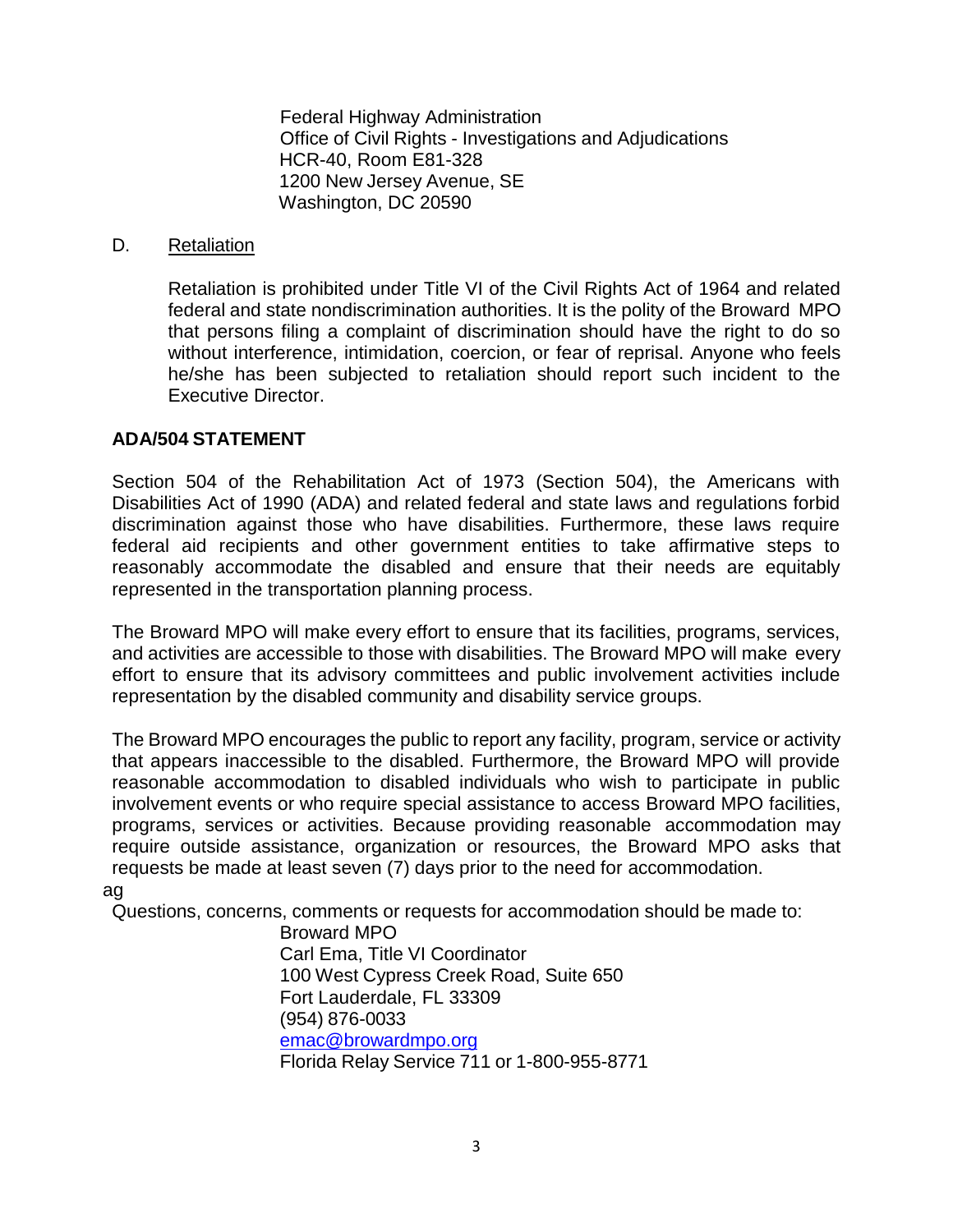Federal Highway Administration Office of Civil Rights - Investigations and Adjudications HCR-40, Room E81-328 1200 New Jersey Avenue, SE Washington, DC 20590

#### D. Retaliation

Retaliation is prohibited under Title VI of the Civil Rights Act of 1964 and related federal and state nondiscrimination authorities. It is the polity of the Broward MPO that persons filing a complaint of discrimination should have the right to do so without interference, intimidation, coercion, or fear of reprisal. Anyone who feels he/she has been subjected to retaliation should report such incident to the Executive Director.

### **ADA/504 STATEMENT**

Section 504 of the Rehabilitation Act of 1973 (Section 504), the Americans with Disabilities Act of 1990 (ADA) and related federal and state laws and regulations forbid discrimination against those who have disabilities. Furthermore, these laws require federal aid recipients and other government entities to take affirmative steps to reasonably accommodate the disabled and ensure that their needs are equitably represented in the transportation planning process.

The Broward MPO will make every effort to ensure that its facilities, programs, services, and activities are accessible to those with disabilities. The Broward MPO will make every effort to ensure that its advisory committees and public involvement activities include representation by the disabled community and disability service groups.

The Broward MPO encourages the public to report any facility, program, service or activity that appears inaccessible to the disabled. Furthermore, the Broward MPO will provide reasonable accommodation to disabled individuals who wish to participate in public involvement events or who require special assistance to access Broward MPO facilities, programs, services or activities. Because providing reasonable accommodation may require outside assistance, organization or resources, the Broward MPO asks that requests be made at least seven (7) days prior to the need for accommodation. ag

Questions, concerns, comments or requests for accommodation should be made to:

Broward MPO Carl Ema, Title VI Coordinator 100 West Cypress Creek Road, Suite 650 Fort Lauderdale, FL 33309 (954) 876-0033 [emac@browardmpo.org](mailto:emac@browardmpo.org) Florida Relay Service 711 or 1-800-955-8771